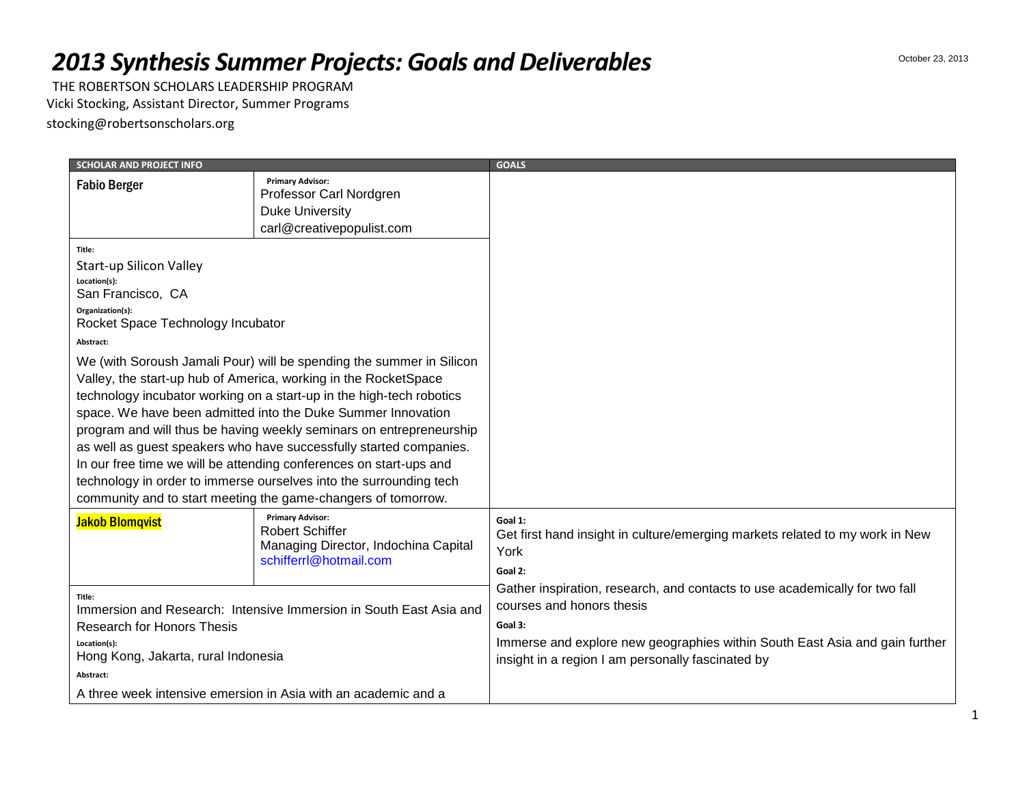## *2013 Synthesis Summer Projects: Goals and Deliverables*

THE ROBERTSON SCHOLARS LEADERSHIP PROGRAM Vicki Stocking, Assistant Director, Summer Programs stocking@robertsonscholars.org

| <b>SCHOLAR AND PROJECT INFO</b>                                                                                                                                                                                                                                                                                                                                                                                                                                                                                                                                                                                                                                                                                                                       |                                      | <b>GOALS</b>                                                                                                                                                                                                                                            |
|-------------------------------------------------------------------------------------------------------------------------------------------------------------------------------------------------------------------------------------------------------------------------------------------------------------------------------------------------------------------------------------------------------------------------------------------------------------------------------------------------------------------------------------------------------------------------------------------------------------------------------------------------------------------------------------------------------------------------------------------------------|--------------------------------------|---------------------------------------------------------------------------------------------------------------------------------------------------------------------------------------------------------------------------------------------------------|
| <b>Primary Advisor:</b><br><b>Fabio Berger</b><br>Professor Carl Nordgren<br><b>Duke University</b>                                                                                                                                                                                                                                                                                                                                                                                                                                                                                                                                                                                                                                                   |                                      |                                                                                                                                                                                                                                                         |
| carl@creativepopulist.com<br>Title:<br>Start-up Silicon Valley<br>Location(s):<br>San Francisco, CA<br>Organization(s):<br>Rocket Space Technology Incubator<br>Abstract:<br>We (with Soroush Jamali Pour) will be spending the summer in Silicon<br>Valley, the start-up hub of America, working in the RocketSpace<br>technology incubator working on a start-up in the high-tech robotics<br>space. We have been admitted into the Duke Summer Innovation<br>program and will thus be having weekly seminars on entrepreneurship<br>as well as guest speakers who have successfully started companies.<br>In our free time we will be attending conferences on start-ups and<br>technology in order to immerse ourselves into the surrounding tech |                                      |                                                                                                                                                                                                                                                         |
| <b>Primary Advisor:</b><br><b>Jakob Blomqvist</b><br><b>Robert Schiffer</b><br>schifferrl@hotmail.com                                                                                                                                                                                                                                                                                                                                                                                                                                                                                                                                                                                                                                                 | Managing Director, Indochina Capital | Goal 1:<br>Get first hand insight in culture/emerging markets related to my work in New<br>York<br>Goal 2:                                                                                                                                              |
| Title:<br>Immersion and Research: Intensive Immersion in South East Asia and<br><b>Research for Honors Thesis</b><br>Location(s):<br>Hong Kong, Jakarta, rural Indonesia<br>Abstract:<br>A three week intensive emersion in Asia with an academic and a                                                                                                                                                                                                                                                                                                                                                                                                                                                                                               |                                      | Gather inspiration, research, and contacts to use academically for two fall<br>courses and honors thesis<br>Goal 3:<br>Immerse and explore new geographies within South East Asia and gain further<br>insight in a region I am personally fascinated by |

1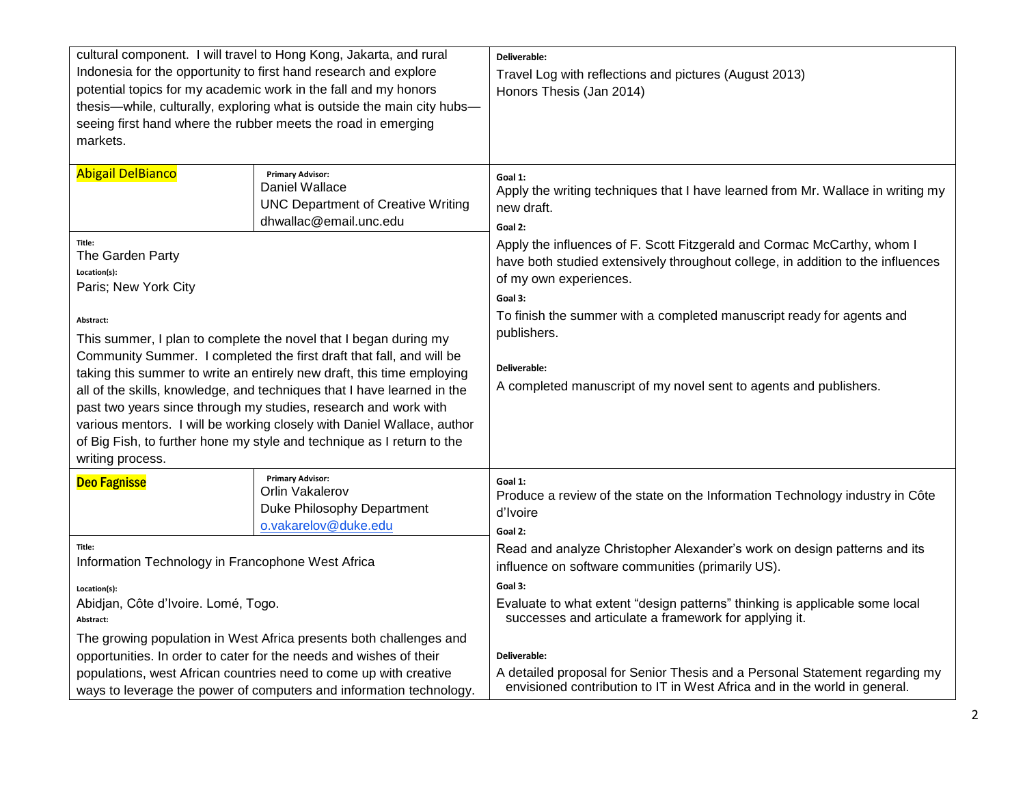| cultural component. I will travel to Hong Kong, Jakarta, and rural<br>Indonesia for the opportunity to first hand research and explore<br>potential topics for my academic work in the fall and my honors<br>thesis-while, culturally, exploring what is outside the main city hubs-<br>seeing first hand where the rubber meets the road in emerging<br>markets. |                                                                                                                  | Deliverable:<br>Travel Log with reflections and pictures (August 2013)<br>Honors Thesis (Jan 2014)                                                                                              |
|-------------------------------------------------------------------------------------------------------------------------------------------------------------------------------------------------------------------------------------------------------------------------------------------------------------------------------------------------------------------|------------------------------------------------------------------------------------------------------------------|-------------------------------------------------------------------------------------------------------------------------------------------------------------------------------------------------|
| <b>Abigail DelBianco</b>                                                                                                                                                                                                                                                                                                                                          | <b>Primary Advisor:</b><br>Daniel Wallace<br><b>UNC Department of Creative Writing</b><br>dhwallac@email.unc.edu | Goal 1:<br>Apply the writing techniques that I have learned from Mr. Wallace in writing my<br>new draft.<br>Goal 2:                                                                             |
| Title:<br>The Garden Party<br>Location(s):<br>Paris; New York City                                                                                                                                                                                                                                                                                                |                                                                                                                  | Apply the influences of F. Scott Fitzgerald and Cormac McCarthy, whom I<br>have both studied extensively throughout college, in addition to the influences<br>of my own experiences.<br>Goal 3: |
| Abstract:<br>This summer, I plan to complete the novel that I began during my<br>Community Summer. I completed the first draft that fall, and will be<br>taking this summer to write an entirely new draft, this time employing                                                                                                                                   |                                                                                                                  | To finish the summer with a completed manuscript ready for agents and<br>publishers.<br>Deliverable:                                                                                            |
| all of the skills, knowledge, and techniques that I have learned in the<br>past two years since through my studies, research and work with<br>various mentors. I will be working closely with Daniel Wallace, author<br>of Big Fish, to further hone my style and technique as I return to the<br>writing process.                                                |                                                                                                                  | A completed manuscript of my novel sent to agents and publishers.                                                                                                                               |
| <b>Deo Fagnisse</b>                                                                                                                                                                                                                                                                                                                                               | <b>Primary Advisor:</b><br>Orlin Vakalerov<br>Duke Philosophy Department<br>o.vakarelov@duke.edu                 | Goal 1:<br>Produce a review of the state on the Information Technology industry in Côte<br>d'Ivoire<br>Goal 2:                                                                                  |
| Title:<br>Information Technology in Francophone West Africa                                                                                                                                                                                                                                                                                                       |                                                                                                                  | Read and analyze Christopher Alexander's work on design patterns and its<br>influence on software communities (primarily US).                                                                   |
| Location(s):<br>Abidjan, Côte d'Ivoire. Lomé, Togo.<br>Abstract:                                                                                                                                                                                                                                                                                                  |                                                                                                                  | Goal 3:<br>Evaluate to what extent "design patterns" thinking is applicable some local<br>successes and articulate a framework for applying it.                                                 |
| The growing population in West Africa presents both challenges and<br>opportunities. In order to cater for the needs and wishes of their<br>populations, west African countries need to come up with creative<br>ways to leverage the power of computers and information technology.                                                                              |                                                                                                                  | Deliverable:<br>A detailed proposal for Senior Thesis and a Personal Statement regarding my<br>envisioned contribution to IT in West Africa and in the world in general.                        |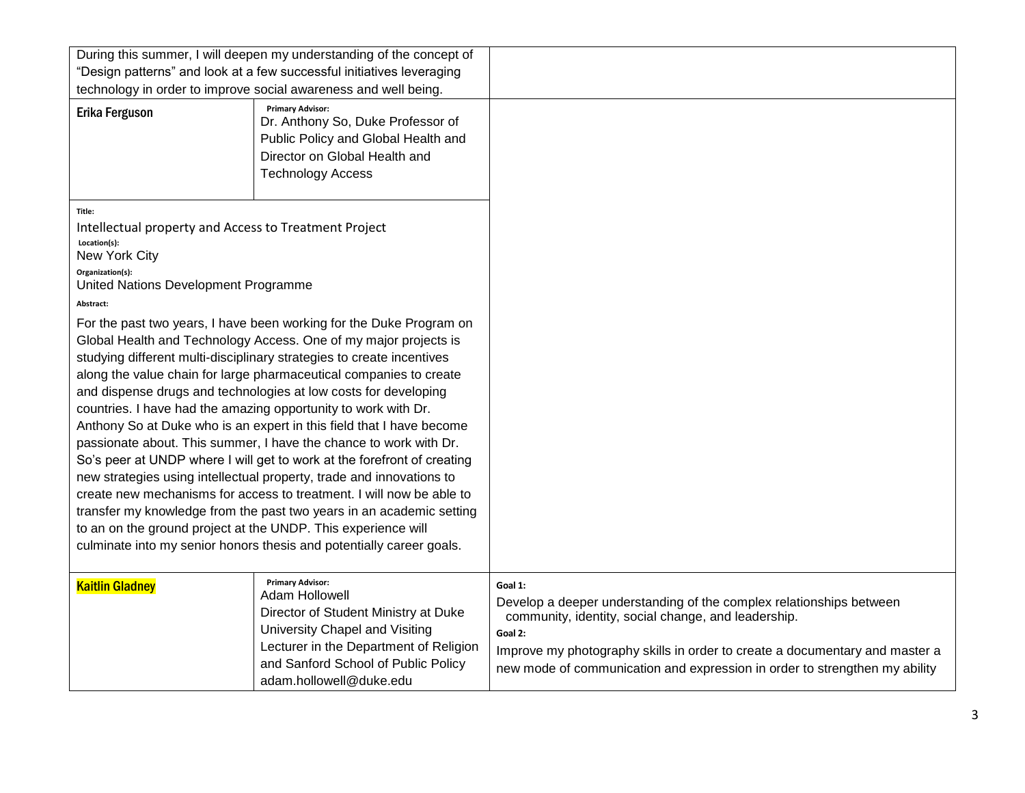| During this summer, I will deepen my understanding of the concept of<br>"Design patterns" and look at a few successful initiatives leveraging<br>technology in order to improve social awareness and well being.                                                                                                                                                                                                                                                                                                                                                                                                                                                                                                                                                                                                                                                                                                                                                                                                                  |                                                                                                                                                                                                                                 |                                                                                                                                                                                                                                                                                                               |
|-----------------------------------------------------------------------------------------------------------------------------------------------------------------------------------------------------------------------------------------------------------------------------------------------------------------------------------------------------------------------------------------------------------------------------------------------------------------------------------------------------------------------------------------------------------------------------------------------------------------------------------------------------------------------------------------------------------------------------------------------------------------------------------------------------------------------------------------------------------------------------------------------------------------------------------------------------------------------------------------------------------------------------------|---------------------------------------------------------------------------------------------------------------------------------------------------------------------------------------------------------------------------------|---------------------------------------------------------------------------------------------------------------------------------------------------------------------------------------------------------------------------------------------------------------------------------------------------------------|
| <b>Erika Ferguson</b>                                                                                                                                                                                                                                                                                                                                                                                                                                                                                                                                                                                                                                                                                                                                                                                                                                                                                                                                                                                                             | <b>Primary Advisor:</b><br>Dr. Anthony So, Duke Professor of<br>Public Policy and Global Health and<br>Director on Global Health and<br><b>Technology Access</b>                                                                |                                                                                                                                                                                                                                                                                                               |
| Title:<br>Intellectual property and Access to Treatment Project<br>Location(s):<br>New York City<br>Organization(s):<br>United Nations Development Programme                                                                                                                                                                                                                                                                                                                                                                                                                                                                                                                                                                                                                                                                                                                                                                                                                                                                      |                                                                                                                                                                                                                                 |                                                                                                                                                                                                                                                                                                               |
| Abstract:<br>For the past two years, I have been working for the Duke Program on<br>Global Health and Technology Access. One of my major projects is<br>studying different multi-disciplinary strategies to create incentives<br>along the value chain for large pharmaceutical companies to create<br>and dispense drugs and technologies at low costs for developing<br>countries. I have had the amazing opportunity to work with Dr.<br>Anthony So at Duke who is an expert in this field that I have become<br>passionate about. This summer, I have the chance to work with Dr.<br>So's peer at UNDP where I will get to work at the forefront of creating<br>new strategies using intellectual property, trade and innovations to<br>create new mechanisms for access to treatment. I will now be able to<br>transfer my knowledge from the past two years in an academic setting<br>to an on the ground project at the UNDP. This experience will<br>culminate into my senior honors thesis and potentially career goals. |                                                                                                                                                                                                                                 |                                                                                                                                                                                                                                                                                                               |
| <b>Kaitlin Gladney</b>                                                                                                                                                                                                                                                                                                                                                                                                                                                                                                                                                                                                                                                                                                                                                                                                                                                                                                                                                                                                            | <b>Primary Advisor:</b><br>Adam Hollowell<br>Director of Student Ministry at Duke<br>University Chapel and Visiting<br>Lecturer in the Department of Religion<br>and Sanford School of Public Policy<br>adam.hollowell@duke.edu | Goal 1:<br>Develop a deeper understanding of the complex relationships between<br>community, identity, social change, and leadership.<br>Goal 2:<br>Improve my photography skills in order to create a documentary and master a<br>new mode of communication and expression in order to strengthen my ability |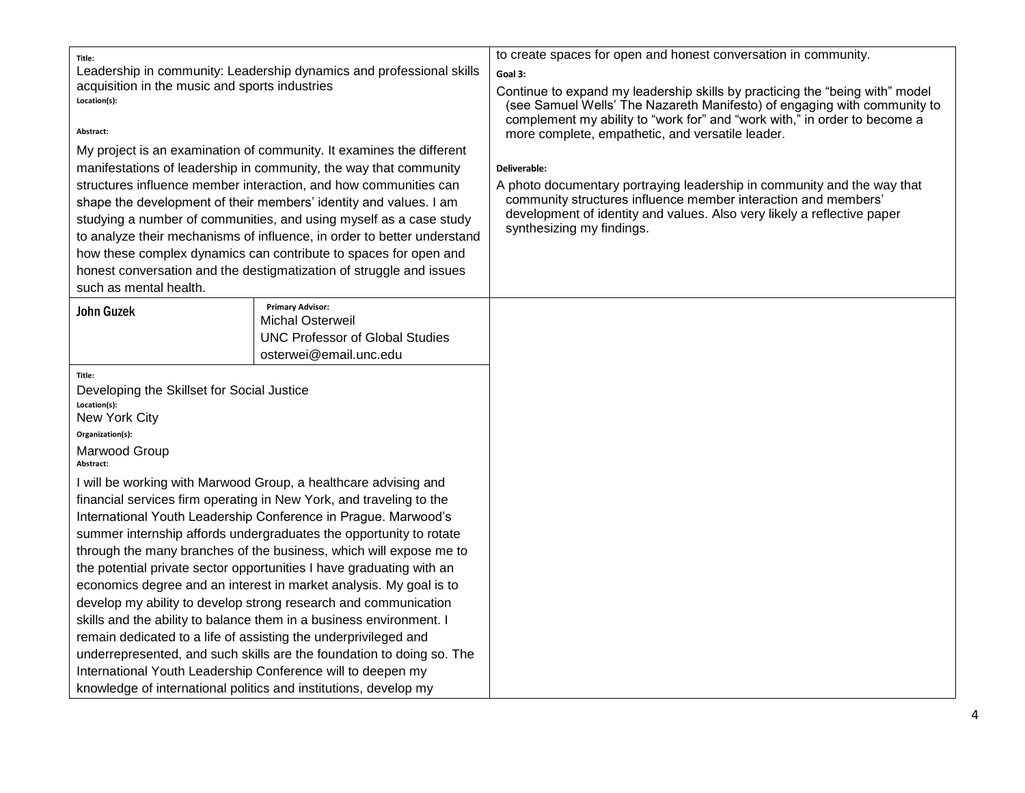| Title:<br>Leadership in community: Leadership dynamics and professional skills<br>acquisition in the music and sports industries<br>Location(s):<br>Abstract:<br>My project is an examination of community. It examines the different<br>manifestations of leadership in community, the way that community<br>structures influence member interaction, and how communities can<br>shape the development of their members' identity and values. I am<br>studying a number of communities, and using myself as a case study<br>to analyze their mechanisms of influence, in order to better understand<br>how these complex dynamics can contribute to spaces for open and<br>honest conversation and the destigmatization of struggle and issues<br>such as mental health.                                                                                                                                                   |                                                                                                                        | to create spaces for open and honest conversation in community.<br>Goal 3:<br>Continue to expand my leadership skills by practicing the "being with" model<br>(see Samuel Wells' The Nazareth Manifesto) of engaging with community to<br>complement my ability to "work for" and "work with," in order to become a<br>more complete, empathetic, and versatile leader.<br>Deliverable:<br>A photo documentary portraying leadership in community and the way that<br>community structures influence member interaction and members'<br>development of identity and values. Also very likely a reflective paper<br>synthesizing my findings. |
|-----------------------------------------------------------------------------------------------------------------------------------------------------------------------------------------------------------------------------------------------------------------------------------------------------------------------------------------------------------------------------------------------------------------------------------------------------------------------------------------------------------------------------------------------------------------------------------------------------------------------------------------------------------------------------------------------------------------------------------------------------------------------------------------------------------------------------------------------------------------------------------------------------------------------------|------------------------------------------------------------------------------------------------------------------------|----------------------------------------------------------------------------------------------------------------------------------------------------------------------------------------------------------------------------------------------------------------------------------------------------------------------------------------------------------------------------------------------------------------------------------------------------------------------------------------------------------------------------------------------------------------------------------------------------------------------------------------------|
| <b>John Guzek</b>                                                                                                                                                                                                                                                                                                                                                                                                                                                                                                                                                                                                                                                                                                                                                                                                                                                                                                           | <b>Primary Advisor:</b><br><b>Michal Osterweil</b><br><b>UNC Professor of Global Studies</b><br>osterwei@email.unc.edu |                                                                                                                                                                                                                                                                                                                                                                                                                                                                                                                                                                                                                                              |
| Title:<br>Developing the Skillset for Social Justice<br>Location(s):<br>New York City<br>Organization(s):<br>Marwood Group<br>Abstract:                                                                                                                                                                                                                                                                                                                                                                                                                                                                                                                                                                                                                                                                                                                                                                                     |                                                                                                                        |                                                                                                                                                                                                                                                                                                                                                                                                                                                                                                                                                                                                                                              |
| I will be working with Marwood Group, a healthcare advising and<br>financial services firm operating in New York, and traveling to the<br>International Youth Leadership Conference in Prague. Marwood's<br>summer internship affords undergraduates the opportunity to rotate<br>through the many branches of the business, which will expose me to<br>the potential private sector opportunities I have graduating with an<br>economics degree and an interest in market analysis. My goal is to<br>develop my ability to develop strong research and communication<br>skills and the ability to balance them in a business environment. I<br>remain dedicated to a life of assisting the underprivileged and<br>underrepresented, and such skills are the foundation to doing so. The<br>International Youth Leadership Conference will to deepen my<br>knowledge of international politics and institutions, develop my |                                                                                                                        |                                                                                                                                                                                                                                                                                                                                                                                                                                                                                                                                                                                                                                              |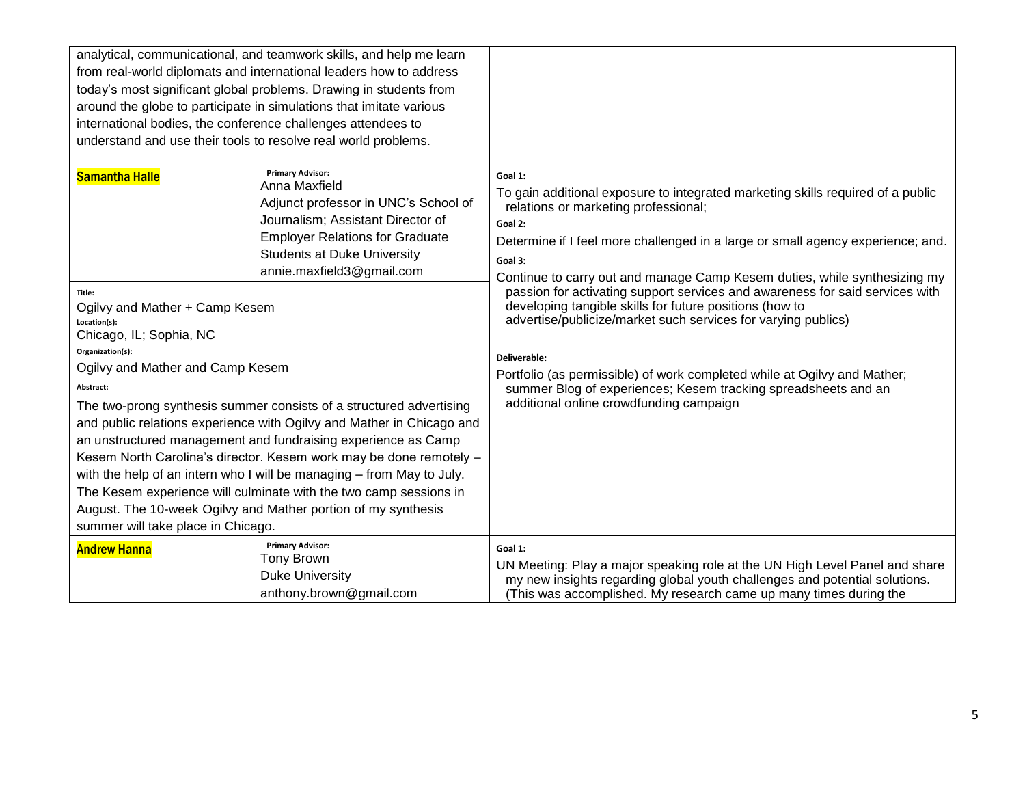| analytical, communicational, and teamwork skills, and help me learn<br>from real-world diplomats and international leaders how to address<br>today's most significant global problems. Drawing in students from<br>around the globe to participate in simulations that imitate various<br>international bodies, the conference challenges attendees to<br>understand and use their tools to resolve real world problems. |                                                                                                                                                                                                                                                                                                                                                                                                                                                                                                                                                                                                                                                                                                                                          |                                                                                                                                                                                                                                                                                                                                                                                                                                                                                                                                                                                                                                                                                                                                               |
|--------------------------------------------------------------------------------------------------------------------------------------------------------------------------------------------------------------------------------------------------------------------------------------------------------------------------------------------------------------------------------------------------------------------------|------------------------------------------------------------------------------------------------------------------------------------------------------------------------------------------------------------------------------------------------------------------------------------------------------------------------------------------------------------------------------------------------------------------------------------------------------------------------------------------------------------------------------------------------------------------------------------------------------------------------------------------------------------------------------------------------------------------------------------------|-----------------------------------------------------------------------------------------------------------------------------------------------------------------------------------------------------------------------------------------------------------------------------------------------------------------------------------------------------------------------------------------------------------------------------------------------------------------------------------------------------------------------------------------------------------------------------------------------------------------------------------------------------------------------------------------------------------------------------------------------|
| <b>Samantha Halle</b><br>Title:<br>Ogilvy and Mather + Camp Kesem<br>Location(s):<br>Chicago, IL; Sophia, NC<br>Organization(s):<br>Ogilvy and Mather and Camp Kesem<br>Abstract:                                                                                                                                                                                                                                        | <b>Primary Advisor:</b><br>Anna Maxfield<br>Adjunct professor in UNC's School of<br>Journalism; Assistant Director of<br><b>Employer Relations for Graduate</b><br><b>Students at Duke University</b><br>annie.maxfield3@gmail.com<br>The two-prong synthesis summer consists of a structured advertising<br>and public relations experience with Ogilvy and Mather in Chicago and<br>an unstructured management and fundraising experience as Camp<br>Kesem North Carolina's director. Kesem work may be done remotely -<br>with the help of an intern who I will be managing - from May to July.<br>The Kesem experience will culminate with the two camp sessions in<br>August. The 10-week Ogilvy and Mather portion of my synthesis | Goal 1:<br>To gain additional exposure to integrated marketing skills required of a public<br>relations or marketing professional;<br>Goal 2:<br>Determine if I feel more challenged in a large or small agency experience; and.<br>Goal 3:<br>Continue to carry out and manage Camp Kesem duties, while synthesizing my<br>passion for activating support services and awareness for said services with<br>developing tangible skills for future positions (how to<br>advertise/publicize/market such services for varying publics)<br>Deliverable:<br>Portfolio (as permissible) of work completed while at Ogilvy and Mather;<br>summer Blog of experiences; Kesem tracking spreadsheets and an<br>additional online crowdfunding campaign |
| summer will take place in Chicago.<br><b>Primary Advisor:</b>                                                                                                                                                                                                                                                                                                                                                            |                                                                                                                                                                                                                                                                                                                                                                                                                                                                                                                                                                                                                                                                                                                                          |                                                                                                                                                                                                                                                                                                                                                                                                                                                                                                                                                                                                                                                                                                                                               |
| <b>Andrew Hanna</b>                                                                                                                                                                                                                                                                                                                                                                                                      | <b>Tony Brown</b><br><b>Duke University</b><br>anthony.brown@gmail.com                                                                                                                                                                                                                                                                                                                                                                                                                                                                                                                                                                                                                                                                   | Goal 1:<br>UN Meeting: Play a major speaking role at the UN High Level Panel and share<br>my new insights regarding global youth challenges and potential solutions.<br>(This was accomplished. My research came up many times during the                                                                                                                                                                                                                                                                                                                                                                                                                                                                                                     |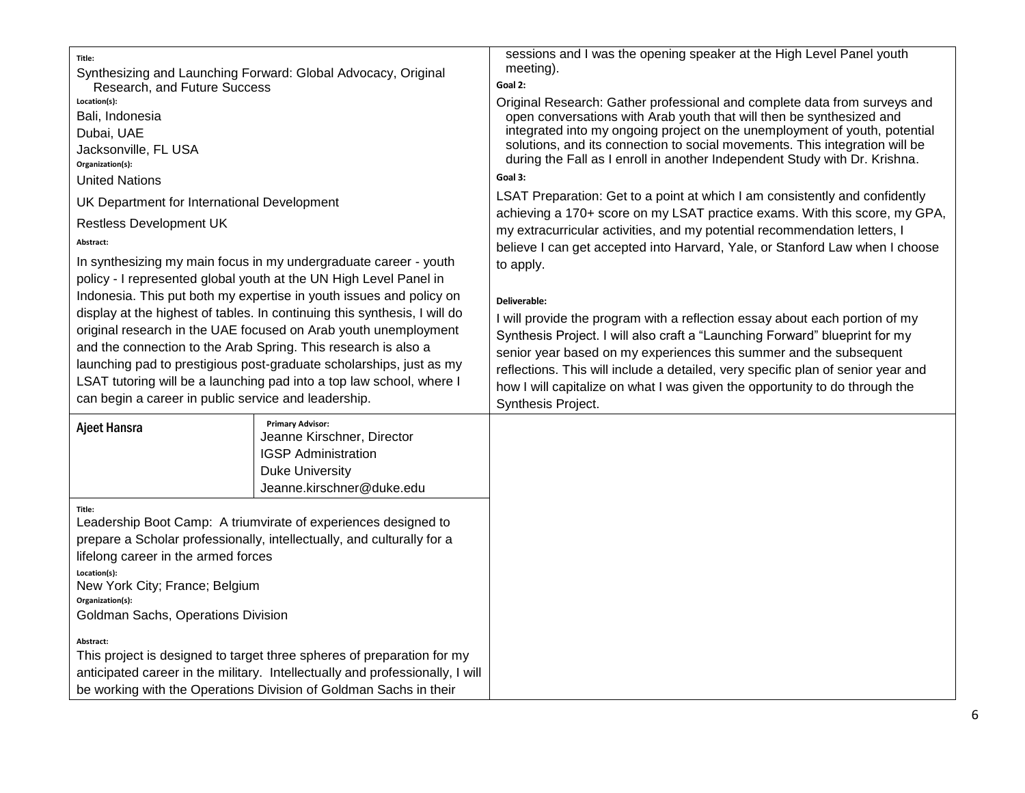| sessions and I was the opening speaker at the High Level Panel youth                                                                                                                                                                                                                                                                                                                                                                                                                                                                                                                                                                                                                                                                                                                                                                                                                                                                                                                                                                                                                                                                                                                                                |
|---------------------------------------------------------------------------------------------------------------------------------------------------------------------------------------------------------------------------------------------------------------------------------------------------------------------------------------------------------------------------------------------------------------------------------------------------------------------------------------------------------------------------------------------------------------------------------------------------------------------------------------------------------------------------------------------------------------------------------------------------------------------------------------------------------------------------------------------------------------------------------------------------------------------------------------------------------------------------------------------------------------------------------------------------------------------------------------------------------------------------------------------------------------------------------------------------------------------|
| meeting).<br>Goal 2:<br>Original Research: Gather professional and complete data from surveys and<br>open conversations with Arab youth that will then be synthesized and<br>integrated into my ongoing project on the unemployment of youth, potential<br>solutions, and its connection to social movements. This integration will be<br>during the Fall as I enroll in another Independent Study with Dr. Krishna.<br>Goal 3:<br>LSAT Preparation: Get to a point at which I am consistently and confidently<br>achieving a 170+ score on my LSAT practice exams. With this score, my GPA,<br>my extracurricular activities, and my potential recommendation letters, I<br>believe I can get accepted into Harvard, Yale, or Stanford Law when I choose<br>to apply.<br>Deliverable:<br>I will provide the program with a reflection essay about each portion of my<br>Synthesis Project. I will also craft a "Launching Forward" blueprint for my<br>senior year based on my experiences this summer and the subsequent<br>reflections. This will include a detailed, very specific plan of senior year and<br>how I will capitalize on what I was given the opportunity to do through the<br>Synthesis Project. |
|                                                                                                                                                                                                                                                                                                                                                                                                                                                                                                                                                                                                                                                                                                                                                                                                                                                                                                                                                                                                                                                                                                                                                                                                                     |
|                                                                                                                                                                                                                                                                                                                                                                                                                                                                                                                                                                                                                                                                                                                                                                                                                                                                                                                                                                                                                                                                                                                                                                                                                     |
|                                                                                                                                                                                                                                                                                                                                                                                                                                                                                                                                                                                                                                                                                                                                                                                                                                                                                                                                                                                                                                                                                                                                                                                                                     |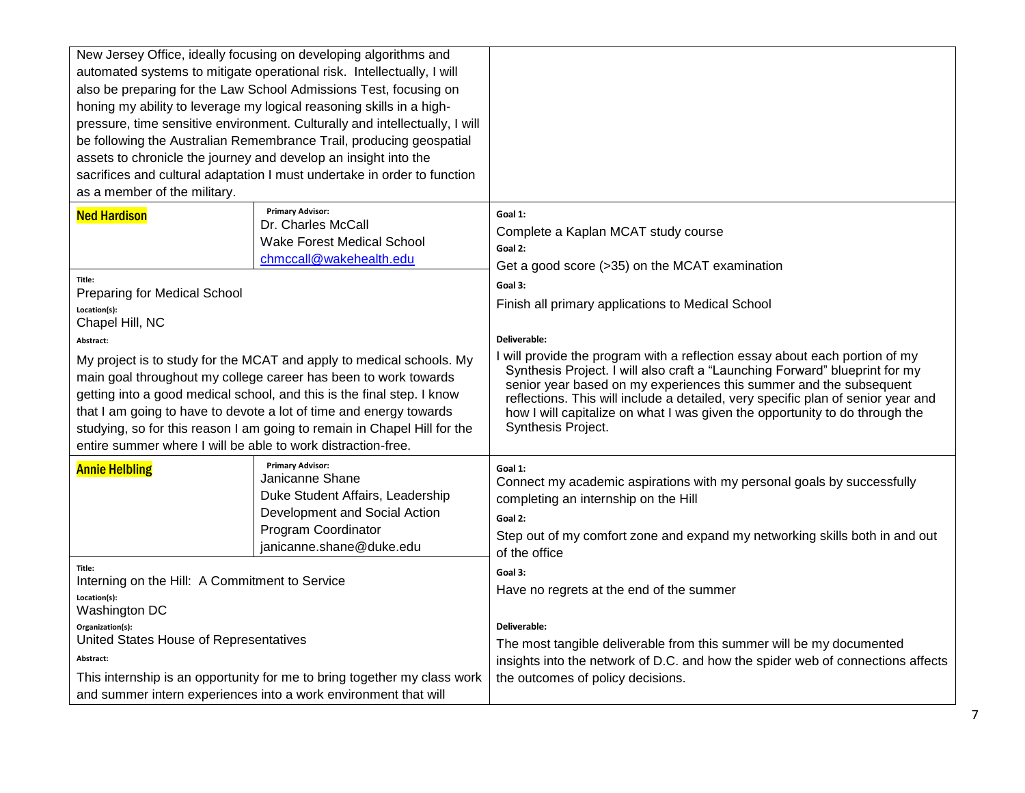| New Jersey Office, ideally focusing on developing algorithms and<br>automated systems to mitigate operational risk. Intellectually, I will<br>also be preparing for the Law School Admissions Test, focusing on<br>honing my ability to leverage my logical reasoning skills in a high-<br>pressure, time sensitive environment. Culturally and intellectually, I will<br>be following the Australian Remembrance Trail, producing geospatial<br>assets to chronicle the journey and develop an insight into the<br>sacrifices and cultural adaptation I must undertake in order to function<br>as a member of the military. |                                                                                                                                                                                                                                                                                                                                                                                                                                                                                                                                                             |
|------------------------------------------------------------------------------------------------------------------------------------------------------------------------------------------------------------------------------------------------------------------------------------------------------------------------------------------------------------------------------------------------------------------------------------------------------------------------------------------------------------------------------------------------------------------------------------------------------------------------------|-------------------------------------------------------------------------------------------------------------------------------------------------------------------------------------------------------------------------------------------------------------------------------------------------------------------------------------------------------------------------------------------------------------------------------------------------------------------------------------------------------------------------------------------------------------|
| <b>Primary Advisor:</b><br><b>Ned Hardison</b><br>Dr. Charles McCall<br><b>Wake Forest Medical School</b><br>chmccall@wakehealth.edu                                                                                                                                                                                                                                                                                                                                                                                                                                                                                         | Goal 1:<br>Complete a Kaplan MCAT study course<br>Goal 2:                                                                                                                                                                                                                                                                                                                                                                                                                                                                                                   |
| Title:<br><b>Preparing for Medical School</b><br>Location(s):<br>Chapel Hill, NC<br>Abstract:<br>My project is to study for the MCAT and apply to medical schools. My<br>main goal throughout my college career has been to work towards<br>getting into a good medical school, and this is the final step. I know<br>that I am going to have to devote a lot of time and energy towards<br>studying, so for this reason I am going to remain in Chapel Hill for the<br>entire summer where I will be able to work distraction-free.                                                                                         | Get a good score (>35) on the MCAT examination<br>Goal 3:<br>Finish all primary applications to Medical School<br>Deliverable:<br>I will provide the program with a reflection essay about each portion of my<br>Synthesis Project. I will also craft a "Launching Forward" blueprint for my<br>senior year based on my experiences this summer and the subsequent<br>reflections. This will include a detailed, very specific plan of senior year and<br>how I will capitalize on what I was given the opportunity to do through the<br>Synthesis Project. |
| <b>Primary Advisor:</b><br><b>Annie Helbling</b><br>Janicanne Shane<br>Duke Student Affairs, Leadership<br>Development and Social Action<br>Program Coordinator<br>janicanne.shane@duke.edu                                                                                                                                                                                                                                                                                                                                                                                                                                  | Goal 1:<br>Connect my academic aspirations with my personal goals by successfully<br>completing an internship on the Hill<br>Goal 2:<br>Step out of my comfort zone and expand my networking skills both in and out<br>of the office                                                                                                                                                                                                                                                                                                                        |
| Title:<br>Interning on the Hill: A Commitment to Service<br>Location(s):<br>Washington DC                                                                                                                                                                                                                                                                                                                                                                                                                                                                                                                                    | Goal 3:<br>Have no regrets at the end of the summer                                                                                                                                                                                                                                                                                                                                                                                                                                                                                                         |
| Organization(s):<br>United States House of Representatives<br>Abstract:<br>This internship is an opportunity for me to bring together my class work<br>and summer intern experiences into a work environment that will                                                                                                                                                                                                                                                                                                                                                                                                       | Deliverable:<br>The most tangible deliverable from this summer will be my documented<br>insights into the network of D.C. and how the spider web of connections affects<br>the outcomes of policy decisions.                                                                                                                                                                                                                                                                                                                                                |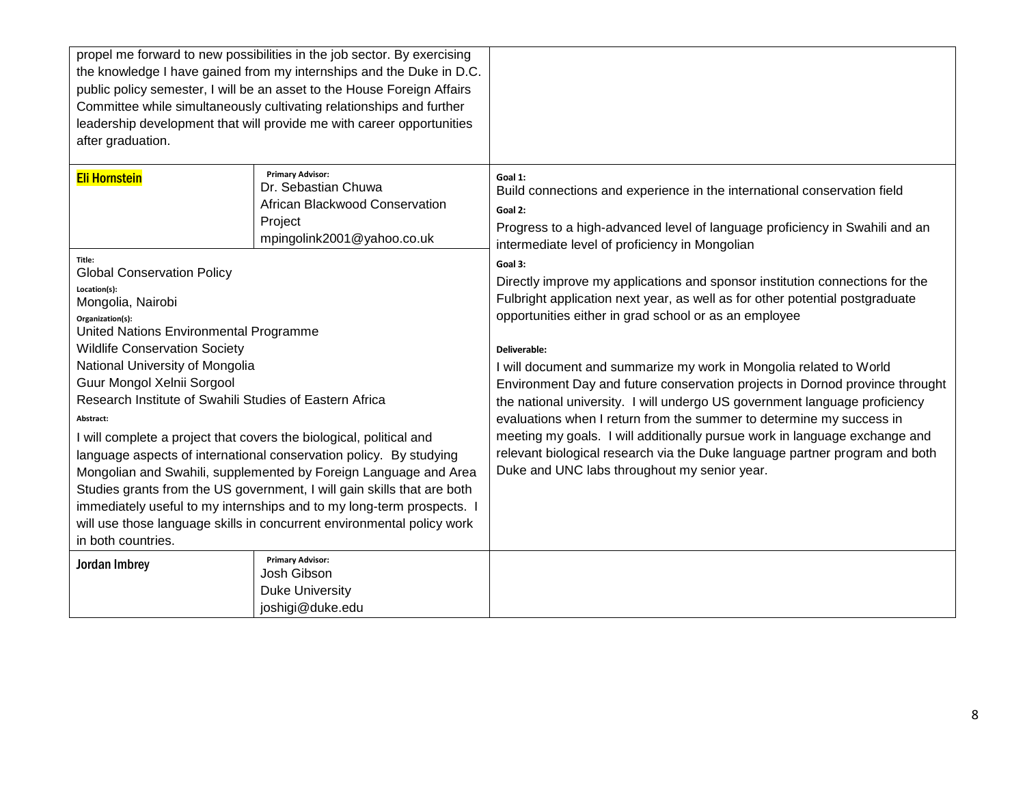| propel me forward to new possibilities in the job sector. By exercising<br>the knowledge I have gained from my internships and the Duke in D.C.<br>public policy semester, I will be an asset to the House Foreign Affairs<br>Committee while simultaneously cultivating relationships and further<br>leadership development that will provide me with career opportunities<br>after graduation.                                                                                                                                                                                                                                                                                                                                                                                                   |                                                                                                                           |                                                                                                                                                                                                                                                                                                                                                                                                                                                                                                                                                                                                                                                                                                                                                                           |
|----------------------------------------------------------------------------------------------------------------------------------------------------------------------------------------------------------------------------------------------------------------------------------------------------------------------------------------------------------------------------------------------------------------------------------------------------------------------------------------------------------------------------------------------------------------------------------------------------------------------------------------------------------------------------------------------------------------------------------------------------------------------------------------------------|---------------------------------------------------------------------------------------------------------------------------|---------------------------------------------------------------------------------------------------------------------------------------------------------------------------------------------------------------------------------------------------------------------------------------------------------------------------------------------------------------------------------------------------------------------------------------------------------------------------------------------------------------------------------------------------------------------------------------------------------------------------------------------------------------------------------------------------------------------------------------------------------------------------|
| <b>Eli Hornstein</b>                                                                                                                                                                                                                                                                                                                                                                                                                                                                                                                                                                                                                                                                                                                                                                               | <b>Primary Advisor:</b><br>Dr. Sebastian Chuwa<br>African Blackwood Conservation<br>Project<br>mpingolink2001@yahoo.co.uk | Goal 1:<br>Build connections and experience in the international conservation field<br>Goal 2:<br>Progress to a high-advanced level of language proficiency in Swahili and an<br>intermediate level of proficiency in Mongolian                                                                                                                                                                                                                                                                                                                                                                                                                                                                                                                                           |
| Title:<br><b>Global Conservation Policy</b><br>Location(s):<br>Mongolia, Nairobi<br>Organization(s):<br>United Nations Environmental Programme<br><b>Wildlife Conservation Society</b><br>National University of Mongolia<br>Guur Mongol Xelnii Sorgool<br>Research Institute of Swahili Studies of Eastern Africa<br>Abstract:<br>I will complete a project that covers the biological, political and<br>language aspects of international conservation policy. By studying<br>Mongolian and Swahili, supplemented by Foreign Language and Area<br>Studies grants from the US government, I will gain skills that are both<br>immediately useful to my internships and to my long-term prospects.<br>will use those language skills in concurrent environmental policy work<br>in both countries. |                                                                                                                           | Goal 3:<br>Directly improve my applications and sponsor institution connections for the<br>Fulbright application next year, as well as for other potential postgraduate<br>opportunities either in grad school or as an employee<br>Deliverable:<br>I will document and summarize my work in Mongolia related to World<br>Environment Day and future conservation projects in Dornod province throught<br>the national university. I will undergo US government language proficiency<br>evaluations when I return from the summer to determine my success in<br>meeting my goals. I will additionally pursue work in language exchange and<br>relevant biological research via the Duke language partner program and both<br>Duke and UNC labs throughout my senior year. |
| Jordan Imbrey                                                                                                                                                                                                                                                                                                                                                                                                                                                                                                                                                                                                                                                                                                                                                                                      | <b>Primary Advisor:</b><br>Josh Gibson<br><b>Duke University</b>                                                          |                                                                                                                                                                                                                                                                                                                                                                                                                                                                                                                                                                                                                                                                                                                                                                           |
|                                                                                                                                                                                                                                                                                                                                                                                                                                                                                                                                                                                                                                                                                                                                                                                                    | joshigi@duke.edu                                                                                                          |                                                                                                                                                                                                                                                                                                                                                                                                                                                                                                                                                                                                                                                                                                                                                                           |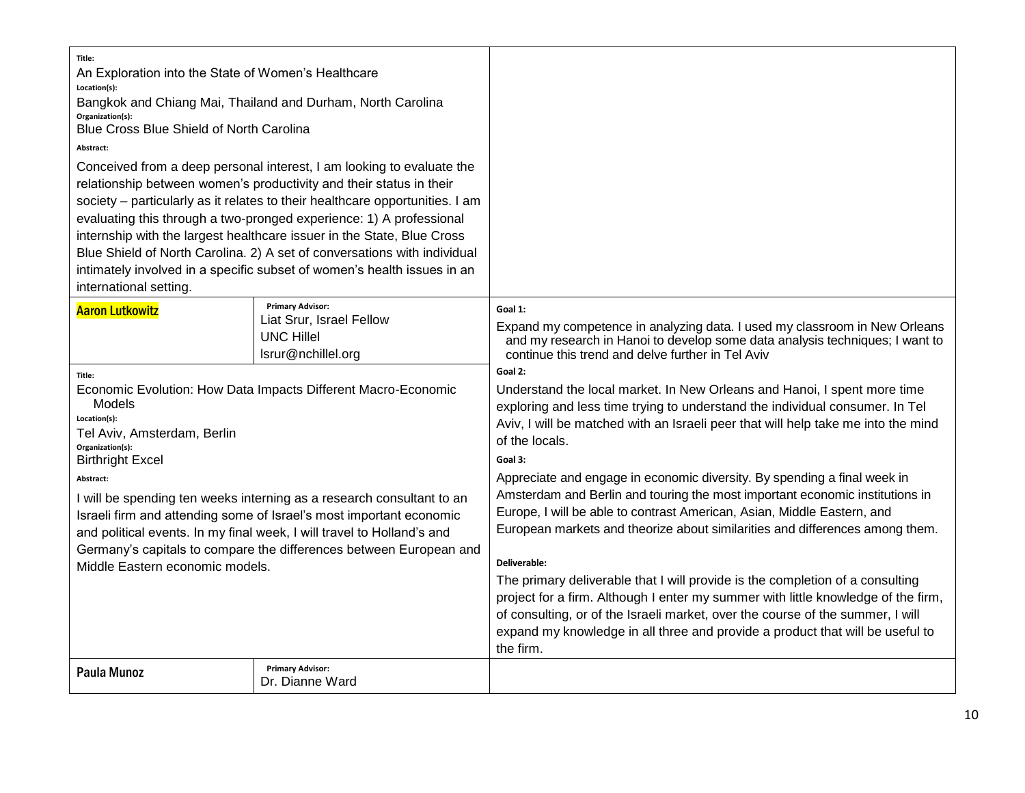| Title:<br>An Exploration into the State of Women's Healthcare<br>Location(s):<br>Bangkok and Chiang Mai, Thailand and Durham, North Carolina<br>Organization(s):<br>Blue Cross Blue Shield of North Carolina<br>Abstract:<br>Conceived from a deep personal interest, I am looking to evaluate the<br>relationship between women's productivity and their status in their<br>society - particularly as it relates to their healthcare opportunities. I am<br>evaluating this through a two-pronged experience: 1) A professional<br>internship with the largest healthcare issuer in the State, Blue Cross<br>Blue Shield of North Carolina. 2) A set of conversations with individual<br>intimately involved in a specific subset of women's health issues in an<br>international setting. |                                            |                                                                                                                                                                                                                                                                                                                                                                                                                                                                                                                                                                                                                                                                                                                                                                                                                                                                                                                                                                                                                                                                                                                                                                                                                  |
|---------------------------------------------------------------------------------------------------------------------------------------------------------------------------------------------------------------------------------------------------------------------------------------------------------------------------------------------------------------------------------------------------------------------------------------------------------------------------------------------------------------------------------------------------------------------------------------------------------------------------------------------------------------------------------------------------------------------------------------------------------------------------------------------|--------------------------------------------|------------------------------------------------------------------------------------------------------------------------------------------------------------------------------------------------------------------------------------------------------------------------------------------------------------------------------------------------------------------------------------------------------------------------------------------------------------------------------------------------------------------------------------------------------------------------------------------------------------------------------------------------------------------------------------------------------------------------------------------------------------------------------------------------------------------------------------------------------------------------------------------------------------------------------------------------------------------------------------------------------------------------------------------------------------------------------------------------------------------------------------------------------------------------------------------------------------------|
| <b>Primary Advisor:</b><br><b>Aaron Lutkowitz</b><br>Liat Srur, Israel Fellow<br><b>UNC Hillel</b><br>lsrur@nchillel.org<br>Title:<br>Economic Evolution: How Data Impacts Different Macro-Economic<br>Models<br>Location(s):<br>Tel Aviv, Amsterdam, Berlin<br>Organization(s):<br><b>Birthright Excel</b><br>Abstract:<br>I will be spending ten weeks interning as a research consultant to an<br>Israeli firm and attending some of Israel's most important economic<br>and political events. In my final week, I will travel to Holland's and<br>Germany's capitals to compare the differences between European and<br>Middle Eastern economic models.                                                                                                                                 |                                            | Goal 1:<br>Expand my competence in analyzing data. I used my classroom in New Orleans<br>and my research in Hanoi to develop some data analysis techniques; I want to<br>continue this trend and delve further in Tel Aviv<br>Goal 2:<br>Understand the local market. In New Orleans and Hanoi, I spent more time<br>exploring and less time trying to understand the individual consumer. In Tel<br>Aviv, I will be matched with an Israeli peer that will help take me into the mind<br>of the locals.<br>Goal 3:<br>Appreciate and engage in economic diversity. By spending a final week in<br>Amsterdam and Berlin and touring the most important economic institutions in<br>Europe, I will be able to contrast American, Asian, Middle Eastern, and<br>European markets and theorize about similarities and differences among them.<br>Deliverable:<br>The primary deliverable that I will provide is the completion of a consulting<br>project for a firm. Although I enter my summer with little knowledge of the firm,<br>of consulting, or of the Israeli market, over the course of the summer, I will<br>expand my knowledge in all three and provide a product that will be useful to<br>the firm. |
| <b>Paula Munoz</b>                                                                                                                                                                                                                                                                                                                                                                                                                                                                                                                                                                                                                                                                                                                                                                          | <b>Primary Advisor:</b><br>Dr. Dianne Ward |                                                                                                                                                                                                                                                                                                                                                                                                                                                                                                                                                                                                                                                                                                                                                                                                                                                                                                                                                                                                                                                                                                                                                                                                                  |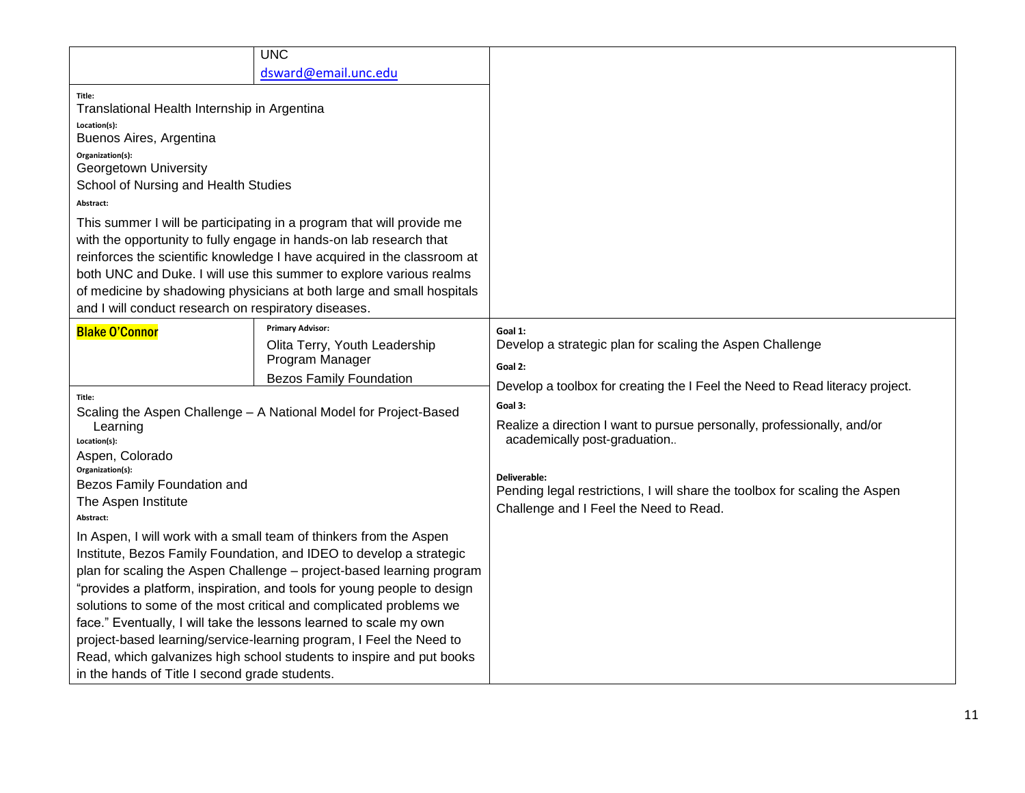|                                                                                                                                                                                                                                                                                                                                                                                                                                                                                                                                                                                                                                            | <b>UNC</b>                                                                                                                                                                                                                                                                                                                                                             |                                                                                                                                                                                                                                                            |
|--------------------------------------------------------------------------------------------------------------------------------------------------------------------------------------------------------------------------------------------------------------------------------------------------------------------------------------------------------------------------------------------------------------------------------------------------------------------------------------------------------------------------------------------------------------------------------------------------------------------------------------------|------------------------------------------------------------------------------------------------------------------------------------------------------------------------------------------------------------------------------------------------------------------------------------------------------------------------------------------------------------------------|------------------------------------------------------------------------------------------------------------------------------------------------------------------------------------------------------------------------------------------------------------|
| dsward@email.unc.edu                                                                                                                                                                                                                                                                                                                                                                                                                                                                                                                                                                                                                       |                                                                                                                                                                                                                                                                                                                                                                        |                                                                                                                                                                                                                                                            |
| Title:<br>Translational Health Internship in Argentina<br>Location(s):<br>Buenos Aires, Argentina<br>Organization(s):<br>Georgetown University<br>School of Nursing and Health Studies<br>Abstract:<br>and I will conduct research on respiratory diseases.                                                                                                                                                                                                                                                                                                                                                                                | This summer I will be participating in a program that will provide me<br>with the opportunity to fully engage in hands-on lab research that<br>reinforces the scientific knowledge I have acquired in the classroom at<br>both UNC and Duke. I will use this summer to explore various realms<br>of medicine by shadowing physicians at both large and small hospitals |                                                                                                                                                                                                                                                            |
| <b>Blake O'Connor</b>                                                                                                                                                                                                                                                                                                                                                                                                                                                                                                                                                                                                                      | <b>Primary Advisor:</b><br>Olita Terry, Youth Leadership<br>Program Manager<br><b>Bezos Family Foundation</b>                                                                                                                                                                                                                                                          | Goal 1:<br>Develop a strategic plan for scaling the Aspen Challenge<br>Goal 2:<br>Develop a toolbox for creating the I Feel the Need to Read literacy project.                                                                                             |
| Title:<br>Scaling the Aspen Challenge - A National Model for Project-Based<br>Learning<br>Location(s):<br>Aspen, Colorado<br>Organization(s):<br>Bezos Family Foundation and<br>The Aspen Institute<br>Abstract:                                                                                                                                                                                                                                                                                                                                                                                                                           |                                                                                                                                                                                                                                                                                                                                                                        | Goal 3:<br>Realize a direction I want to pursue personally, professionally, and/or<br>academically post-graduation<br>Deliverable:<br>Pending legal restrictions, I will share the toolbox for scaling the Aspen<br>Challenge and I Feel the Need to Read. |
| In Aspen, I will work with a small team of thinkers from the Aspen<br>Institute, Bezos Family Foundation, and IDEO to develop a strategic<br>plan for scaling the Aspen Challenge - project-based learning program<br>"provides a platform, inspiration, and tools for young people to design<br>solutions to some of the most critical and complicated problems we<br>face." Eventually, I will take the lessons learned to scale my own<br>project-based learning/service-learning program, I Feel the Need to<br>Read, which galvanizes high school students to inspire and put books<br>in the hands of Title I second grade students. |                                                                                                                                                                                                                                                                                                                                                                        |                                                                                                                                                                                                                                                            |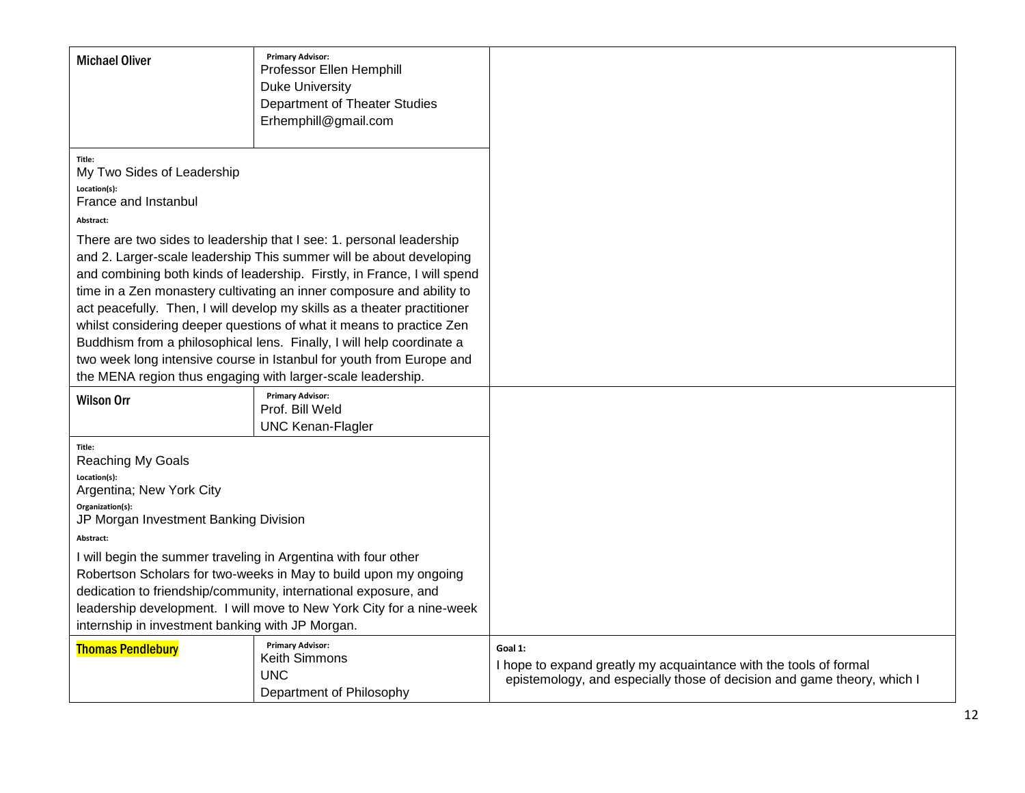| <b>Michael Oliver</b>                                                                                                                                                                                                                                                                                                                                                                                                                                                                                                                                                                                                                                                                                                                                             | <b>Primary Advisor:</b><br>Professor Ellen Hemphill<br><b>Duke University</b><br>Department of Theater Studies<br>Erhemphill@gmail.com |                                                                                                                                                         |
|-------------------------------------------------------------------------------------------------------------------------------------------------------------------------------------------------------------------------------------------------------------------------------------------------------------------------------------------------------------------------------------------------------------------------------------------------------------------------------------------------------------------------------------------------------------------------------------------------------------------------------------------------------------------------------------------------------------------------------------------------------------------|----------------------------------------------------------------------------------------------------------------------------------------|---------------------------------------------------------------------------------------------------------------------------------------------------------|
| Title:<br>My Two Sides of Leadership<br>Location(s):<br>France and Instanbul<br>Abstract:<br>There are two sides to leadership that I see: 1. personal leadership<br>and 2. Larger-scale leadership This summer will be about developing<br>and combining both kinds of leadership. Firstly, in France, I will spend<br>time in a Zen monastery cultivating an inner composure and ability to<br>act peacefully. Then, I will develop my skills as a theater practitioner<br>whilst considering deeper questions of what it means to practice Zen<br>Buddhism from a philosophical lens. Finally, I will help coordinate a<br>two week long intensive course in Istanbul for youth from Europe and<br>the MENA region thus engaging with larger-scale leadership. |                                                                                                                                        |                                                                                                                                                         |
| <b>Wilson Orr</b>                                                                                                                                                                                                                                                                                                                                                                                                                                                                                                                                                                                                                                                                                                                                                 | <b>Primary Advisor:</b><br>Prof. Bill Weld<br><b>UNC Kenan-Flagler</b>                                                                 |                                                                                                                                                         |
| Title:<br>Reaching My Goals<br>Location(s):<br>Argentina; New York City<br>Organization(s):<br>JP Morgan Investment Banking Division<br>Abstract:<br>I will begin the summer traveling in Argentina with four other<br>Robertson Scholars for two-weeks in May to build upon my ongoing<br>dedication to friendship/community, international exposure, and<br>leadership development. I will move to New York City for a nine-week<br>internship in investment banking with JP Morgan.                                                                                                                                                                                                                                                                            |                                                                                                                                        |                                                                                                                                                         |
| <b>Thomas Pendlebury</b>                                                                                                                                                                                                                                                                                                                                                                                                                                                                                                                                                                                                                                                                                                                                          | <b>Primary Advisor:</b><br>Keith Simmons<br><b>UNC</b><br>Department of Philosophy                                                     | Goal 1:<br>I hope to expand greatly my acquaintance with the tools of formal<br>epistemology, and especially those of decision and game theory, which I |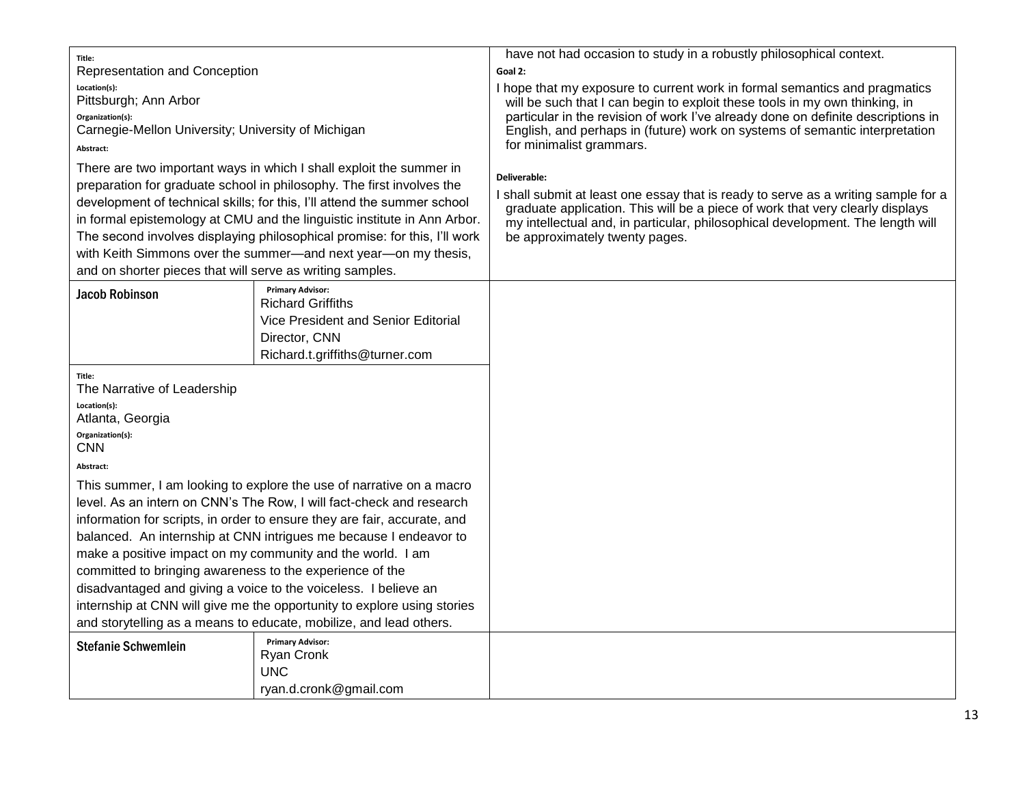| Title:                                                    |                                                                           | have not had occasion to study in a robustly philosophical context.                                                                                                 |
|-----------------------------------------------------------|---------------------------------------------------------------------------|---------------------------------------------------------------------------------------------------------------------------------------------------------------------|
| Representation and Conception                             |                                                                           | Goal 2:                                                                                                                                                             |
| Location(s):                                              |                                                                           | I hope that my exposure to current work in formal semantics and pragmatics                                                                                          |
| Pittsburgh; Ann Arbor                                     |                                                                           | will be such that I can begin to exploit these tools in my own thinking, in                                                                                         |
| Organization(s):                                          |                                                                           | particular in the revision of work I've already done on definite descriptions in                                                                                    |
| Carnegie-Mellon University; University of Michigan        |                                                                           | English, and perhaps in (future) work on systems of semantic interpretation<br>for minimalist grammars.                                                             |
| Abstract:                                                 |                                                                           |                                                                                                                                                                     |
|                                                           | There are two important ways in which I shall exploit the summer in       | Deliverable:                                                                                                                                                        |
|                                                           | preparation for graduate school in philosophy. The first involves the     |                                                                                                                                                                     |
|                                                           | development of technical skills; for this, I'll attend the summer school  | I shall submit at least one essay that is ready to serve as a writing sample for a<br>graduate application. This will be a piece of work that very clearly displays |
|                                                           | in formal epistemology at CMU and the linguistic institute in Ann Arbor.  | my intellectual and, in particular, philosophical development. The length will                                                                                      |
|                                                           | The second involves displaying philosophical promise: for this, I'll work | be approximately twenty pages.                                                                                                                                      |
|                                                           | with Keith Simmons over the summer—and next year—on my thesis,            |                                                                                                                                                                     |
| and on shorter pieces that will serve as writing samples. |                                                                           |                                                                                                                                                                     |
| <b>Jacob Robinson</b>                                     | <b>Primary Advisor:</b>                                                   |                                                                                                                                                                     |
|                                                           | <b>Richard Griffiths</b>                                                  |                                                                                                                                                                     |
|                                                           | Vice President and Senior Editorial                                       |                                                                                                                                                                     |
|                                                           | Director, CNN                                                             |                                                                                                                                                                     |
|                                                           | Richard.t.griffiths@turner.com                                            |                                                                                                                                                                     |
| Title:                                                    |                                                                           |                                                                                                                                                                     |
| The Narrative of Leadership                               |                                                                           |                                                                                                                                                                     |
| Location(s):                                              |                                                                           |                                                                                                                                                                     |
| Atlanta, Georgia                                          |                                                                           |                                                                                                                                                                     |
| Organization(s):<br><b>CNN</b>                            |                                                                           |                                                                                                                                                                     |
| Abstract:                                                 |                                                                           |                                                                                                                                                                     |
|                                                           | This summer, I am looking to explore the use of narrative on a macro      |                                                                                                                                                                     |
|                                                           | level. As an intern on CNN's The Row, I will fact-check and research      |                                                                                                                                                                     |
|                                                           | information for scripts, in order to ensure they are fair, accurate, and  |                                                                                                                                                                     |
|                                                           | balanced. An internship at CNN intrigues me because I endeavor to         |                                                                                                                                                                     |
|                                                           | make a positive impact on my community and the world. I am                |                                                                                                                                                                     |
|                                                           |                                                                           |                                                                                                                                                                     |
| committed to bringing awareness to the experience of the  |                                                                           |                                                                                                                                                                     |
|                                                           | disadvantaged and giving a voice to the voiceless. I believe an           |                                                                                                                                                                     |
|                                                           | internship at CNN will give me the opportunity to explore using stories   |                                                                                                                                                                     |
|                                                           | and storytelling as a means to educate, mobilize, and lead others.        |                                                                                                                                                                     |
| <b>Stefanie Schwemlein</b>                                | <b>Primary Advisor:</b>                                                   |                                                                                                                                                                     |
|                                                           | <b>Ryan Cronk</b>                                                         |                                                                                                                                                                     |
|                                                           | <b>UNC</b>                                                                |                                                                                                                                                                     |
|                                                           | ryan.d.cronk@gmail.com                                                    |                                                                                                                                                                     |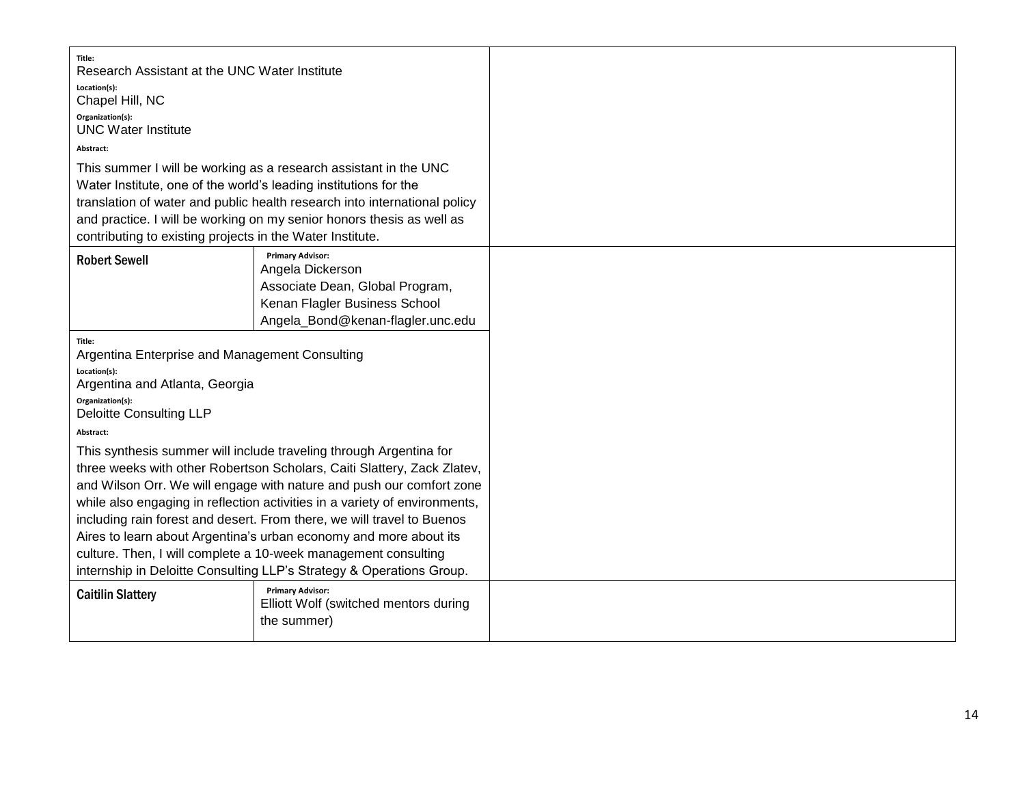| Title:<br>Research Assistant at the UNC Water Institute<br>Location(s):                                                                       |                                                                            |
|-----------------------------------------------------------------------------------------------------------------------------------------------|----------------------------------------------------------------------------|
| Chapel Hill, NC                                                                                                                               |                                                                            |
| Organization(s):<br><b>UNC Water Institute</b>                                                                                                |                                                                            |
| Abstract:                                                                                                                                     |                                                                            |
| This summer I will be working as a research assistant in the UNC                                                                              |                                                                            |
| Water Institute, one of the world's leading institutions for the<br>translation of water and public health research into international policy |                                                                            |
| and practice. I will be working on my senior honors thesis as well as                                                                         |                                                                            |
| contributing to existing projects in the Water Institute.                                                                                     |                                                                            |
| <b>Robert Sewell</b>                                                                                                                          | <b>Primary Advisor:</b><br>Angela Dickerson                                |
|                                                                                                                                               | Associate Dean, Global Program,                                            |
|                                                                                                                                               | Kenan Flagler Business School                                              |
|                                                                                                                                               | Angela_Bond@kenan-flagler.unc.edu                                          |
| Title:                                                                                                                                        |                                                                            |
| Argentina Enterprise and Management Consulting<br>Location(s):                                                                                |                                                                            |
| Argentina and Atlanta, Georgia                                                                                                                |                                                                            |
| Organization(s):                                                                                                                              |                                                                            |
| <b>Deloitte Consulting LLP</b><br>Abstract:                                                                                                   |                                                                            |
|                                                                                                                                               | This synthesis summer will include traveling through Argentina for         |
|                                                                                                                                               | three weeks with other Robertson Scholars, Caiti Slattery, Zack Zlatev,    |
|                                                                                                                                               | and Wilson Orr. We will engage with nature and push our comfort zone       |
|                                                                                                                                               | while also engaging in reflection activities in a variety of environments, |
| including rain forest and desert. From there, we will travel to Buenos<br>Aires to learn about Argentina's urban economy and more about its   |                                                                            |
|                                                                                                                                               | culture. Then, I will complete a 10-week management consulting             |
| internship in Deloitte Consulting LLP's Strategy & Operations Group.                                                                          |                                                                            |
| <b>Caitilin Slattery</b>                                                                                                                      | <b>Primary Advisor:</b>                                                    |
|                                                                                                                                               | Elliott Wolf (switched mentors during<br>the summer)                       |
|                                                                                                                                               |                                                                            |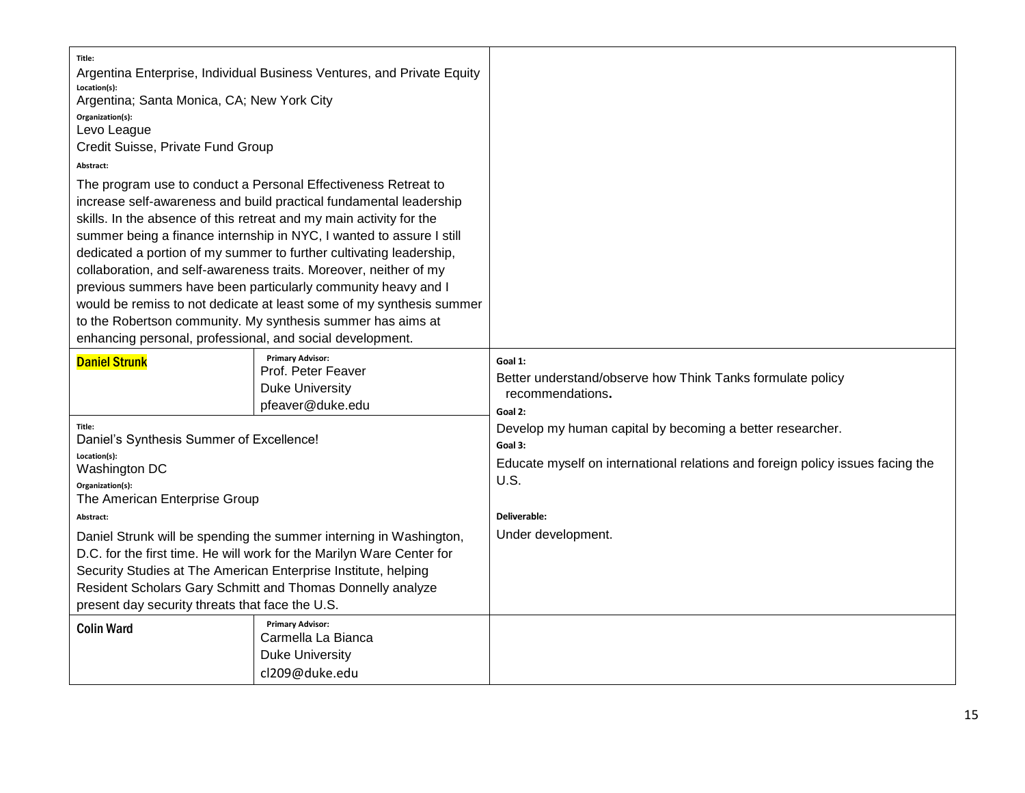| Title:<br>Location(s):<br>Argentina; Santa Monica, CA; New York City<br>Organization(s):<br>Levo League<br>Credit Suisse, Private Fund Group<br>Abstract:<br>enhancing personal, professional, and social development. | Argentina Enterprise, Individual Business Ventures, and Private Equity<br>The program use to conduct a Personal Effectiveness Retreat to<br>increase self-awareness and build practical fundamental leadership<br>skills. In the absence of this retreat and my main activity for the<br>summer being a finance internship in NYC, I wanted to assure I still<br>dedicated a portion of my summer to further cultivating leadership,<br>collaboration, and self-awareness traits. Moreover, neither of my<br>previous summers have been particularly community heavy and I<br>would be remiss to not dedicate at least some of my synthesis summer<br>to the Robertson community. My synthesis summer has aims at |                                                                                                                                                                                                      |
|------------------------------------------------------------------------------------------------------------------------------------------------------------------------------------------------------------------------|-------------------------------------------------------------------------------------------------------------------------------------------------------------------------------------------------------------------------------------------------------------------------------------------------------------------------------------------------------------------------------------------------------------------------------------------------------------------------------------------------------------------------------------------------------------------------------------------------------------------------------------------------------------------------------------------------------------------|------------------------------------------------------------------------------------------------------------------------------------------------------------------------------------------------------|
| <b>Daniel Strunk</b>                                                                                                                                                                                                   | <b>Primary Advisor:</b><br>Prof. Peter Feaver<br><b>Duke University</b><br>pfeaver@duke.edu                                                                                                                                                                                                                                                                                                                                                                                                                                                                                                                                                                                                                       | Goal 1:<br>Better understand/observe how Think Tanks formulate policy<br>recommendations.<br>Goal 2:                                                                                                 |
| Title:<br>Daniel's Synthesis Summer of Excellence!<br>Location(s):<br>Washington DC<br>Organization(s):<br>The American Enterprise Group<br>Abstract:<br>present day security threats that face the U.S.               | Daniel Strunk will be spending the summer interning in Washington,<br>D.C. for the first time. He will work for the Marilyn Ware Center for<br>Security Studies at The American Enterprise Institute, helping<br>Resident Scholars Gary Schmitt and Thomas Donnelly analyze                                                                                                                                                                                                                                                                                                                                                                                                                                       | Develop my human capital by becoming a better researcher.<br>Goal 3:<br>Educate myself on international relations and foreign policy issues facing the<br>U.S.<br>Deliverable:<br>Under development. |
| <b>Colin Ward</b>                                                                                                                                                                                                      | <b>Primary Advisor:</b><br>Carmella La Bianca<br><b>Duke University</b><br>cl209@duke.edu                                                                                                                                                                                                                                                                                                                                                                                                                                                                                                                                                                                                                         |                                                                                                                                                                                                      |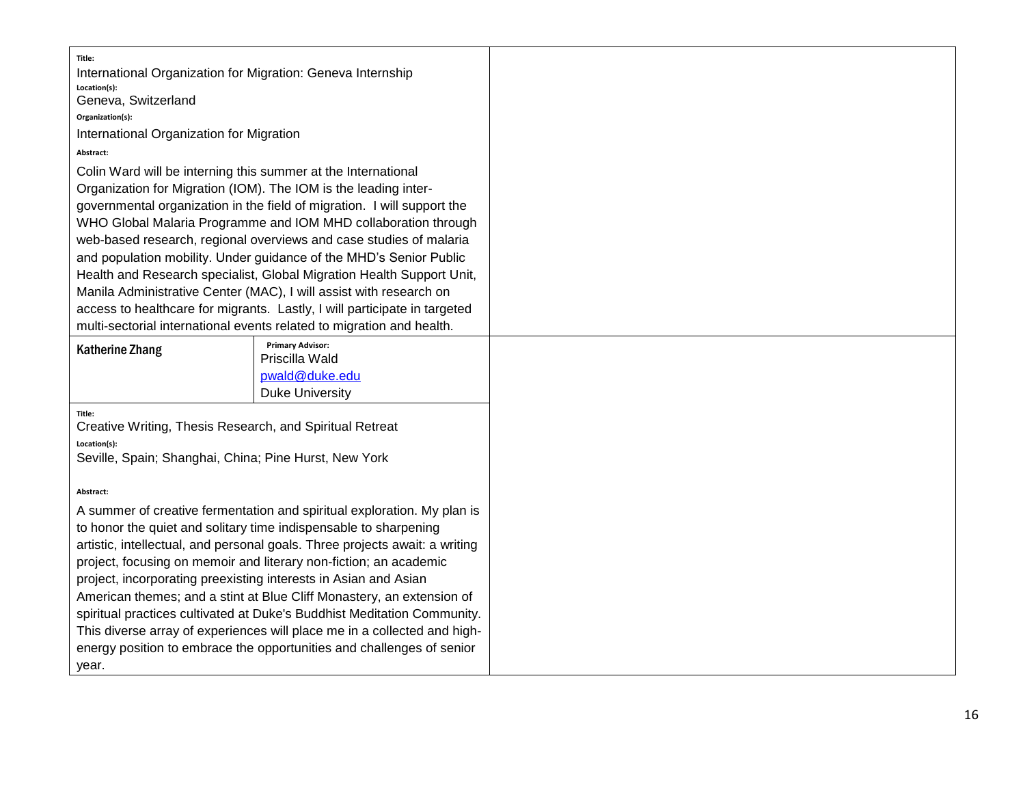| Title:                                                                                                                                              |                                                                           |
|-----------------------------------------------------------------------------------------------------------------------------------------------------|---------------------------------------------------------------------------|
| International Organization for Migration: Geneva Internship<br>Location(s):                                                                         |                                                                           |
| Geneva, Switzerland                                                                                                                                 |                                                                           |
| Organization(s):                                                                                                                                    |                                                                           |
| International Organization for Migration                                                                                                            |                                                                           |
| Abstract:                                                                                                                                           |                                                                           |
| Colin Ward will be interning this summer at the International                                                                                       |                                                                           |
| Organization for Migration (IOM). The IOM is the leading inter-                                                                                     |                                                                           |
| governmental organization in the field of migration. I will support the                                                                             |                                                                           |
| WHO Global Malaria Programme and IOM MHD collaboration through                                                                                      |                                                                           |
| web-based research, regional overviews and case studies of malaria                                                                                  |                                                                           |
| and population mobility. Under guidance of the MHD's Senior Public                                                                                  |                                                                           |
| Health and Research specialist, Global Migration Health Support Unit,                                                                               |                                                                           |
| Manila Administrative Center (MAC), I will assist with research on                                                                                  |                                                                           |
|                                                                                                                                                     | access to healthcare for migrants. Lastly, I will participate in targeted |
|                                                                                                                                                     | multi-sectorial international events related to migration and health.     |
| <b>Katherine Zhang</b>                                                                                                                              | <b>Primary Advisor:</b><br>Priscilla Wald                                 |
|                                                                                                                                                     | pwald@duke.edu                                                            |
|                                                                                                                                                     | <b>Duke University</b>                                                    |
| Title:                                                                                                                                              |                                                                           |
| Creative Writing, Thesis Research, and Spiritual Retreat                                                                                            |                                                                           |
| Location(s):                                                                                                                                        |                                                                           |
| Seville, Spain; Shanghai, China; Pine Hurst, New York                                                                                               |                                                                           |
|                                                                                                                                                     |                                                                           |
| Abstract:                                                                                                                                           |                                                                           |
|                                                                                                                                                     | A summer of creative fermentation and spiritual exploration. My plan is   |
|                                                                                                                                                     | to honor the quiet and solitary time indispensable to sharpening          |
| artistic, intellectual, and personal goals. Three projects await: a writing<br>project, focusing on memoir and literary non-fiction; an academic    |                                                                           |
| project, incorporating preexisting interests in Asian and Asian                                                                                     |                                                                           |
|                                                                                                                                                     | American themes; and a stint at Blue Cliff Monastery, an extension of     |
|                                                                                                                                                     |                                                                           |
| spiritual practices cultivated at Duke's Buddhist Meditation Community.<br>This diverse array of experiences will place me in a collected and high- |                                                                           |
| energy position to embrace the opportunities and challenges of senior                                                                               |                                                                           |
| year.                                                                                                                                               |                                                                           |
|                                                                                                                                                     |                                                                           |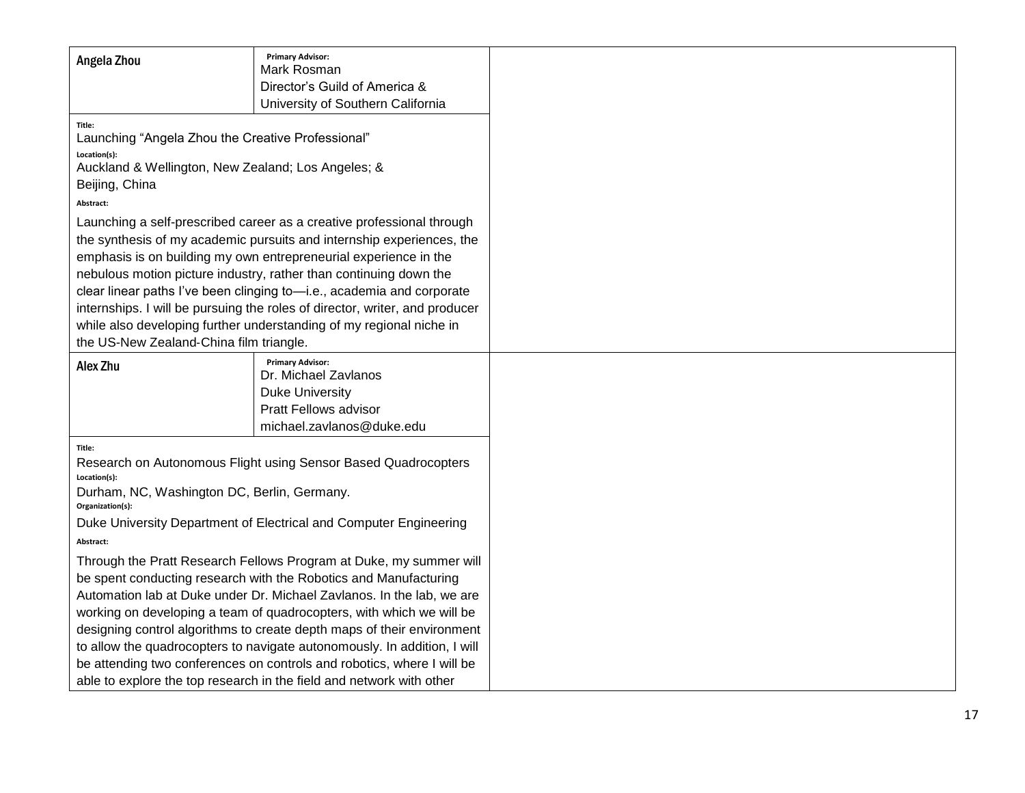|                                                                                                                                                                                                                                                                                                                                                                                                                                                                                                                                                                                                 | <b>Primary Advisor:</b>                                        |
|-------------------------------------------------------------------------------------------------------------------------------------------------------------------------------------------------------------------------------------------------------------------------------------------------------------------------------------------------------------------------------------------------------------------------------------------------------------------------------------------------------------------------------------------------------------------------------------------------|----------------------------------------------------------------|
| Angela Zhou                                                                                                                                                                                                                                                                                                                                                                                                                                                                                                                                                                                     | Mark Rosman                                                    |
|                                                                                                                                                                                                                                                                                                                                                                                                                                                                                                                                                                                                 | Director's Guild of America &                                  |
|                                                                                                                                                                                                                                                                                                                                                                                                                                                                                                                                                                                                 | University of Southern California                              |
| Title:<br>Launching "Angela Zhou the Creative Professional"<br>Location(s):<br>Auckland & Wellington, New Zealand; Los Angeles; &<br>Beijing, China                                                                                                                                                                                                                                                                                                                                                                                                                                             |                                                                |
| Abstract:                                                                                                                                                                                                                                                                                                                                                                                                                                                                                                                                                                                       |                                                                |
| Launching a self-prescribed career as a creative professional through<br>the synthesis of my academic pursuits and internship experiences, the<br>emphasis is on building my own entrepreneurial experience in the<br>nebulous motion picture industry, rather than continuing down the<br>clear linear paths I've been clinging to-i.e., academia and corporate<br>internships. I will be pursuing the roles of director, writer, and producer<br>while also developing further understanding of my regional niche in<br>the US-New Zealand-China film triangle.                               |                                                                |
| Alex Zhu                                                                                                                                                                                                                                                                                                                                                                                                                                                                                                                                                                                        | <b>Primary Advisor:</b><br>Dr. Michael Zavlanos                |
|                                                                                                                                                                                                                                                                                                                                                                                                                                                                                                                                                                                                 | <b>Duke University</b>                                         |
|                                                                                                                                                                                                                                                                                                                                                                                                                                                                                                                                                                                                 | <b>Pratt Fellows advisor</b>                                   |
|                                                                                                                                                                                                                                                                                                                                                                                                                                                                                                                                                                                                 | michael.zavlanos@duke.edu                                      |
| Title:<br>Location(s):<br>Durham, NC, Washington DC, Berlin, Germany.<br>Organization(s):                                                                                                                                                                                                                                                                                                                                                                                                                                                                                                       | Research on Autonomous Flight using Sensor Based Quadrocopters |
| Duke University Department of Electrical and Computer Engineering                                                                                                                                                                                                                                                                                                                                                                                                                                                                                                                               |                                                                |
| Abstract:                                                                                                                                                                                                                                                                                                                                                                                                                                                                                                                                                                                       |                                                                |
| Through the Pratt Research Fellows Program at Duke, my summer will<br>be spent conducting research with the Robotics and Manufacturing<br>Automation lab at Duke under Dr. Michael Zavlanos. In the lab, we are<br>working on developing a team of quadrocopters, with which we will be<br>designing control algorithms to create depth maps of their environment<br>to allow the quadrocopters to navigate autonomously. In addition, I will<br>be attending two conferences on controls and robotics, where I will be<br>able to explore the top research in the field and network with other |                                                                |